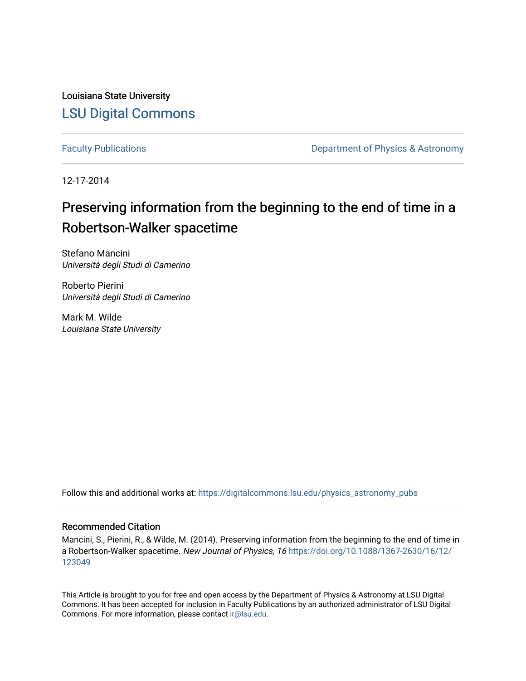Louisiana State University [LSU Digital Commons](https://digitalcommons.lsu.edu/)

[Faculty Publications](https://digitalcommons.lsu.edu/physics_astronomy_pubs) **Exercise 2 and Table 2 and Table 2 and Table 2 and Table 2 and Table 2 and Table 2 and Table 2 and Table 2 and Table 2 and Table 2 and Table 2 and Table 2 and Table 2 and Table 2 and Table 2 and Table** 

12-17-2014

# Preserving information from the beginning to the end of time in a Robertson-Walker spacetime

Stefano Mancini Università degli Studi di Camerino

Roberto Pierini Università degli Studi di Camerino

Mark M. Wilde Louisiana State University

Follow this and additional works at: [https://digitalcommons.lsu.edu/physics\\_astronomy\\_pubs](https://digitalcommons.lsu.edu/physics_astronomy_pubs?utm_source=digitalcommons.lsu.edu%2Fphysics_astronomy_pubs%2F5692&utm_medium=PDF&utm_campaign=PDFCoverPages) 

### Recommended Citation

Mancini, S., Pierini, R., & Wilde, M. (2014). Preserving information from the beginning to the end of time in a Robertson-Walker spacetime. New Journal of Physics, 16 [https://doi.org/10.1088/1367-2630/16/12/](https://doi.org/10.1088/1367-2630/16/12/123049) [123049](https://doi.org/10.1088/1367-2630/16/12/123049) 

This Article is brought to you for free and open access by the Department of Physics & Astronomy at LSU Digital Commons. It has been accepted for inclusion in Faculty Publications by an authorized administrator of LSU Digital Commons. For more information, please contact [ir@lsu.edu](mailto:ir@lsu.edu).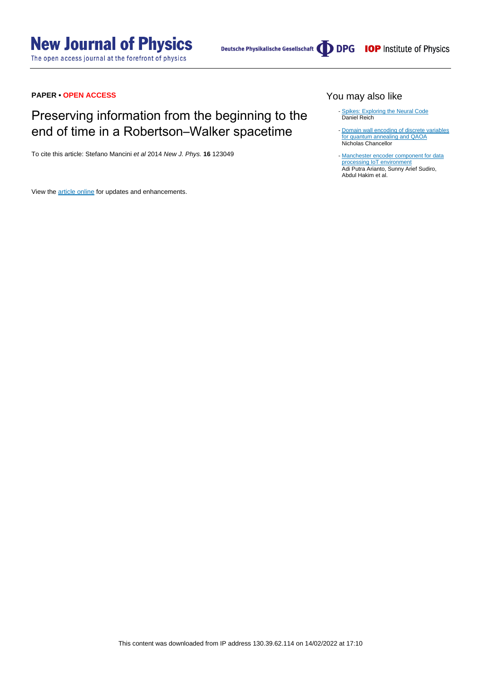# **New Journal of Physics**

The open access journal at the forefront of physics

Deutsche Physikalische Gesellschaft **ODPG** IOP Institute of Physics

### **PAPER • OPEN ACCESS**

## Preserving information from the beginning to the end of time in a Robertson–Walker spacetime

To cite this article: Stefano Mancini et al 2014 New J. Phys. **16** 123049

View the [article online](https://doi.org/10.1088/1367-2630/16/12/123049) for updates and enhancements.

## You may also like

- [Spikes: Exploring the Neural Code](/article/10.1088/0954-898X/8/3/008) Daniel Reich
- [Domain wall encoding of discrete variables](/article/10.1088/2058-9565/ab33c2) [for quantum annealing and QAOA](/article/10.1088/2058-9565/ab33c2) Nicholas Chancellor -
- [Manchester encoder component for data](/article/10.1088/1742-6596/1192/1/012043) [processing IoT environment](/article/10.1088/1742-6596/1192/1/012043) Adi Putra Arianto, Sunny Arief Sudiro, Abdul Hakim et al.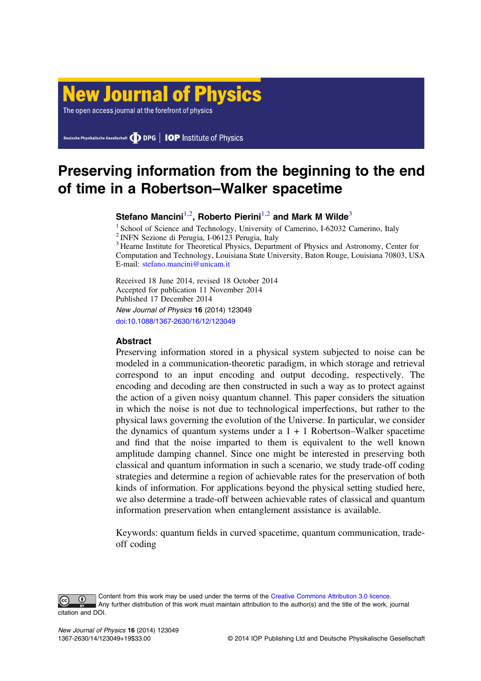# **New Journal of Physics**

The open access journal at the forefront of physics

Deutsche Physikalische Gesellschaft **DDPG** | **IOP** Institute of Physics

# Preserving information from the beginning to the end of time in a Robertson–Walker spacetime

## Stefano Mancini<sup>1,2</sup>, Roberto Pierini<sup>1,2</sup> and Mark M Wilde<sup>3</sup>

<sup>1</sup> School of Science and Technology, University of Camerino, I-62032 Camerino, Italy <sup>2</sup> INFN Sezione di Perugia, I-06123 Perugia, Italy

<sup>3</sup> Hearne Institute for Theoretical Physics, Department of Physics and Astronomy, Center for Computation and Technology, Louisiana State University, Baton Rouge, Louisiana 70803, USA E-mail: [stefano.mancini@unicam.it](mailto:stefano.mancini@unicam.it)

Received 18 June 2014, revised 18 October 2014 Accepted for publication 11 November 2014 Published 17 December 2014

New Journal of Physics 16 (2014) 123049 [doi:10.1088/1367-2630/16/12/123049](http://dx.doi.org/10.1088/1367-2630/16/12/123049)

#### Abstract

Preserving information stored in a physical system subjected to noise can be modeled in a communication-theoretic paradigm, in which storage and retrieval correspond to an input encoding and output decoding, respectively. The encoding and decoding are then constructed in such a way as to protect against the action of a given noisy quantum channel. This paper considers the situation in which the noise is not due to technological imperfections, but rather to the physical laws governing the evolution of the Universe. In particular, we consider the dynamics of quantum systems under a  $1 + 1$  Robertson–Walker spacetime and find that the noise imparted to them is equivalent to the well known amplitude damping channel. Since one might be interested in preserving both classical and quantum information in such a scenario, we study trade-off coding strategies and determine a region of achievable rates for the preservation of both kinds of information. For applications beyond the physical setting studied here, we also determine a trade-off between achievable rates of classical and quantum information preservation when entanglement assistance is available.

Keywords: quantum fields in curved spacetime, quantum communication, tradeoff coding

Content from this work may be used under the terms of the [Creative Commons Attribution 3.0 licence](http://creativecommons.org/licenses/by/3.0/). Œ Any further distribution of this work must maintain attribution to the author(s) and the title of the work, journal citation and DOI.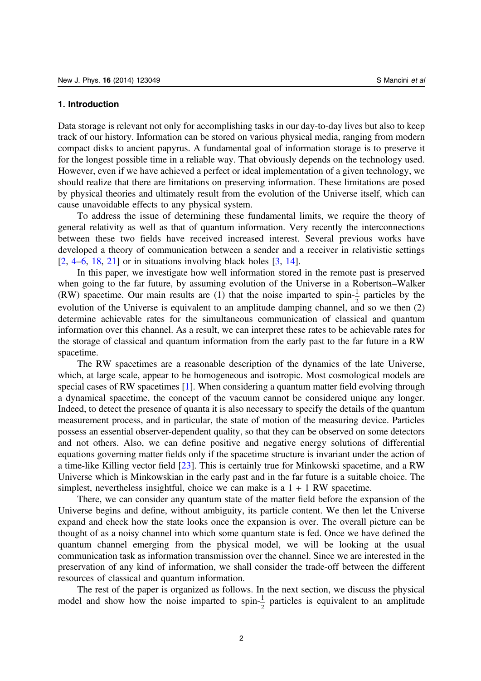#### 1. Introduction

Data storage is relevant not only for accomplishing tasks in our day-to-day lives but also to keep track of our history. Information can be stored on various physical media, ranging from modern compact disks to ancient papyrus. A fundamental goal of information storage is to preserve it for the longest possible time in a reliable way. That obviously depends on the technology used. However, even if we have achieved a perfect or ideal implementation of a given technology, we should realize that there are limitations on preserving information. These limitations are posed by physical theories and ultimately result from the evolution of the Universe itself, which can cause unavoidable effects to any physical system.

To address the issue of determining these fundamental limits, we require the theory of general relativity as well as that of quantum information. Very recently the interconnections between these two fields have received increased interest. Several previous works have developed a theory of communication between a sender and a receiver in relativistic settings [[2,](#page-19-0) [4](#page-19-0)–[6](#page-19-0), [18](#page-20-0), [21](#page-20-0)] or in situations involving black holes [[3,](#page-19-0) [14](#page-20-0)].

In this paper, we investigate how well information stored in the remote past is preserved when going to the far future, by assuming evolution of the Universe in a Robertson–Walker (RW) spacetime. Our main results are (1) that the noise imparted to spin- $\frac{1}{2}$  particles by the evolution of the Universe is equivalent to an amplitude damping channel, and so we then  $(2)$ determine achievable rates for the simultaneous communication of classical and quantum information over this channel. As a result, we can interpret these rates to be achievable rates for the storage of classical and quantum information from the early past to the far future in a RW spacetime.

The RW spacetimes are a reasonable description of the dynamics of the late Universe, which, at large scale, appear to be homogeneous and isotropic. Most cosmological models are special cases of RW spacetimes [\[1](#page-19-0)]. When considering a quantum matter field evolving through a dynamical spacetime, the concept of the vacuum cannot be considered unique any longer. Indeed, to detect the presence of quanta it is also necessary to specify the details of the quantum measurement process, and in particular, the state of motion of the measuring device. Particles possess an essential observer-dependent quality, so that they can be observed on some detectors and not others. Also, we can define positive and negative energy solutions of differential equations governing matter fields only if the spacetime structure is invariant under the action of a time-like Killing vector field [[23\]](#page-20-0). This is certainly true for Minkowski spacetime, and a RW Universe which is Minkowskian in the early past and in the far future is a suitable choice. The simplest, nevertheless insightful, choice we can make is a  $1 + 1$  RW spacetime.

There, we can consider any quantum state of the matter field before the expansion of the Universe begins and define, without ambiguity, its particle content. We then let the Universe expand and check how the state looks once the expansion is over. The overall picture can be thought of as a noisy channel into which some quantum state is fed. Once we have defined the quantum channel emerging from the physical model, we will be looking at the usual communication task as information transmission over the channel. Since we are interested in the preservation of any kind of information, we shall consider the trade-off between the different resources of classical and quantum information.

The rest of the paper is organized as follows. In the next section, we discuss the physical model and show how the noise imparted to spin- $\frac{1}{2}$  particles is equivalent to an amplitude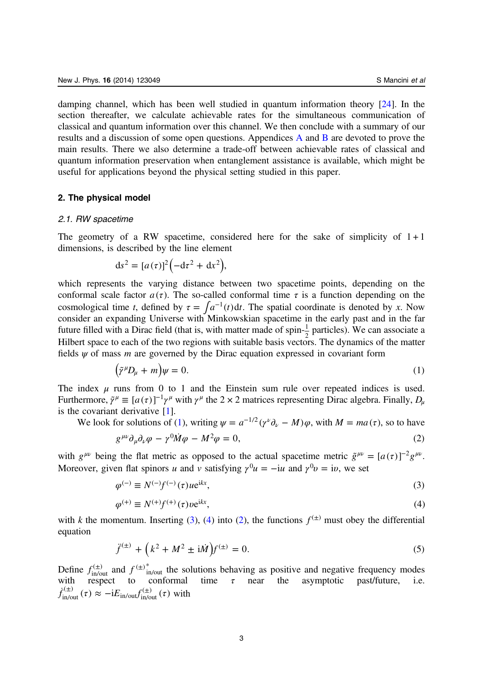<span id="page-4-0"></span>damping channel, which has been well studied in quantum information theory [[24\]](#page-20-0). In the section thereafter, we calculate achievable rates for the simultaneous communication of classical and quantum information over this channel. We then conclude with a summary of our results and a discussion of some open questions. Appendices [A](#page-11-0) and [B](#page-15-0) are devoted to prove the main results. There we also determine a trade-off between achievable rates of classical and quantum information preservation when entanglement assistance is available, which might be useful for applications beyond the physical setting studied in this paper.

#### 2. The physical model

#### 2.1. RW spacetime

The geometry of a RW spacetime, considered here for the sake of simplicity of  $1+1$ dimensions, is described by the line element

$$
ds^2 = [a(\tau)]^2 \left(-d\tau^2 + dx^2\right),\,
$$

which represents the varying distance between two spacetime points, depending on the conformal scale factor  $a(\tau)$ . The so-called conformal time  $\tau$  is a function depending on the cosmological time t, defined by  $\tau = \int a^{-1}(t) dt$ . The spatial coordinate is denoted by x. Now consider an expanding Universe with Minkowskian spacetime in the early past and in the far future filled with a Dirac field (that is, with matter made of spin- $\frac{1}{2}$  particles). We can associate a Hilbert space to each of the two regions with suitable basis vectors. The dynamics of the matter fields  $\psi$  of mass m are governed by the Dirac equation expressed in covariant form

$$
(\tilde{\gamma}^{\mu}D_{\mu} + m)\psi = 0. \tag{1}
$$

The index  $\mu$  runs from 0 to 1 and the Einstein sum rule over repeated indices is used. Furthermore,  $\tilde{\gamma}^{\mu} \equiv [a(\tau)]^{-1} \gamma^{\mu}$  with  $\gamma^{\mu}$  the 2 × 2 matrices representing Dirac algebra. Finally,  $D_{\mu}$ is the covariant derivative [[1\]](#page-19-0).

We look for solutions of (1), writing  $\psi = a^{-1/2} (\gamma^{\nu} \partial_{\nu} - M) \varphi$ , with  $M = ma(\tau)$ , so to have

$$
g^{\mu\nu}\partial_{\mu}\partial_{\nu}\varphi - \gamma^0 \dot{M}\varphi - M^2 \varphi = 0, \tag{2}
$$

with  $g^{\mu\nu}$  being the flat metric as opposed to the actual spacetime metric  $\tilde{g}^{\mu\nu} = [a(\tau)]^{-2} g^{\mu\nu}$ . Moreover, given flat spinors u and v satisfying  $\gamma^0 u = -iu$  and  $\gamma^0 v = iv$ , we set

$$
\varphi^{(-)} \equiv N^{(-)}f^{(-)}(\tau)ue^{\mathrm{i}kx},\tag{3}
$$

$$
\varphi^{(+)} \equiv N^{(+)}f^{(+)}(\tau)\nu e^{ikx},\tag{4}
$$

with k the momentum. Inserting (3), (4) into (2), the functions  $f^{(\pm)}$  must obey the differential equation

$$
\ddot{f}^{(\pm)} + \left(k^2 + M^2 \pm i\dot{M}\right) f^{(\pm)} = 0. \tag{5}
$$

Define  $f_{\text{in/out}}^{(\pm)}$  and  $f^{(\pm)}_{\text{in/out}}$  the solutions behaving as positive and negative frequency modes with respect to conformal time  $\tau$  near the asymptotic past/future, i.e.  $\dot{f}_{\text{in/out}}^{(\pm)}(\tau) \approx -i E_{\text{in/out}} f_{\text{in/out}}^{(\pm)}(\tau)$ in/out $f_{\text{in/out}}^{(\pm)}(\tau)$  with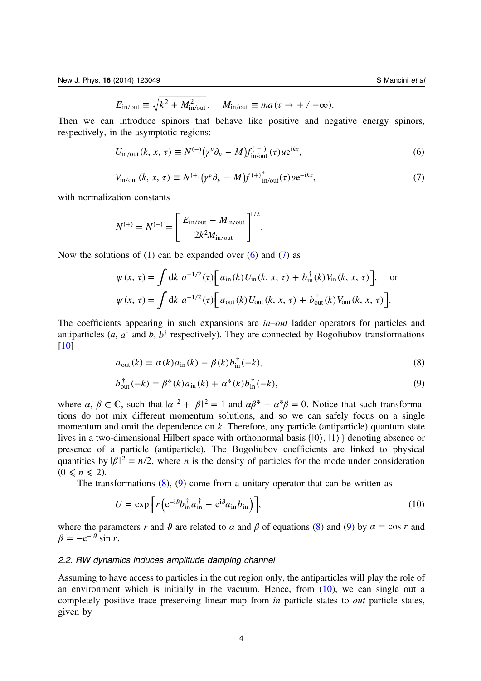$$
E_{\text{in}/\text{out}} \equiv \sqrt{k^2 + M_{\text{in}/\text{out}}^2}, \quad M_{\text{in}/\text{out}} \equiv ma(\tau \to +/-\infty).
$$

<span id="page-5-0"></span>Then we can introduce spinors that behave like positive and negative energy spinors, respectively, in the asymptotic regions:

$$
U_{\text{in}/\text{out}}(k, x, \tau) \equiv N^{(-)} \left( \gamma^{\nu} \partial_{\nu} - M \right) f_{\text{in}/\text{out}}^{(-)}(\tau) u e^{ikx}, \tag{6}
$$

$$
V_{\text{in/out}}(k, x, \tau) \equiv N^{(+)} (\gamma^{\nu} \partial_{\nu} - M) f^{(+)}{}_{\text{in/out}}^{*}(\tau) v e^{-ikx}, \tag{7}
$$

with normalization constants

$$
N^{(+)} = N^{(-)} = \left[ \frac{E_{\text{in/out}} - M_{\text{in/out}}}{2k^2 M_{\text{in/out}}} \right]^{1/2}.
$$

Now the solutions of  $(1)$  $(1)$  can be expanded over  $(6)$  and  $(7)$  as

$$
\psi(x,\,\tau) = \int \mathrm{d}k \ a^{-1/2}(\tau) \Big[ a_{\rm in}(k) U_{\rm in}(k,\,x,\,\tau) + b_{\rm in}^{\dagger}(k) V_{\rm in}(k,\,x,\,\tau) \Big], \quad \text{or}
$$

$$
\psi(x,\,\tau) = \int \mathrm{d}k \ a^{-1/2}(\tau) \Big[ a_{\rm out}(k) U_{\rm out}(k,\,x,\,\tau) + b_{\rm out}^{\dagger}(k) V_{\rm out}(k,\,x,\,\tau) \Big].
$$

The coefficients appearing in such expansions are *in–out* ladder operators for particles and antiparticles (*a*,  $a^{\dagger}$  and *b*,  $b^{\dagger}$  respectively). They are connected by Bogoliubov transformations [[10\]](#page-20-0)

$$
a_{\text{out}}(k) = \alpha(k)a_{\text{in}}(k) - \beta(k)b_{\text{in}}^{\dagger}(-k),\tag{8}
$$

$$
b_{\text{out}}^{\dagger}(-k) = \beta^*(k)a_{\text{in}}(k) + \alpha^*(k)b_{\text{in}}^{\dagger}(-k),
$$
\n(9)

where  $\alpha$ ,  $\beta \in \mathbb{C}$ , such that  $|\alpha|^2 + |\beta|^2 = 1$  and  $\alpha\beta^* - \alpha^*\beta = 0$ . Notice that such transformations do not mix different momentum solutions, and so we can safely focus on a single momentum and omit the dependence on  $k$ . Therefore, any particle (antiparticle) quantum state lives in a two-dimensional Hilbert space with orthonormal basis  $\{10\}$ ,  $\{1\}$  al denoting absence or presence of a particle (antiparticle). The Bogoliubov coefficients are linked to physical quantities by  $|\beta|^2 = n/2$ , where *n* is the density of particles for the mode under consideration  $(0 \leq n \leq 2)$ .

The transformations (8), (9) come from a unitary operator that can be written as

$$
U = \exp\left[r\left(e^{-i\theta}b_{\text{in}}^{\dagger}a_{\text{in}}^{\dagger} - e^{i\theta}a_{\text{in}}b_{\text{in}}\right)\right],\tag{10}
$$

where the parameters r and  $\theta$  are related to  $\alpha$  and  $\beta$  of equations (8) and (9) by  $\alpha = \cos r$  and  $\beta = -e^{-i\theta} \sin r$ .

#### 2.2. RW dynamics induces amplitude damping channel

Assuming to have access to particles in the out region only, the antiparticles will play the role of an environment which is initially in the vacuum. Hence, from  $(10)$ , we can single out a completely positive trace preserving linear map from *in* particle states to *out* particle states, given by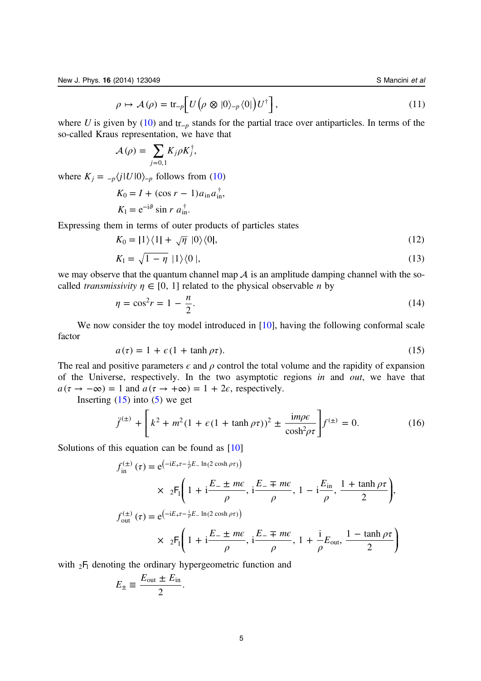<span id="page-6-0"></span>New J. Phys. 16 (2014) 123049 SMancini et al.

$$
\rho \mapsto \mathcal{A}(\rho) = \text{tr}_{-p} \Big[ U \Big( \rho \otimes |0\rangle_{-p} \langle 0| \Big) U^{\dagger} \Big], \tag{11}
$$

where *U* is given by [\(10](#page-5-0)) and tr<sub>−*p*</sub> stands for the partial trace over antiparticles. In terms of the so-called Kraus representation, we have that

$$
\mathcal{A}(\rho) = \sum_{j=0,1} K_j \rho K_j^{\dagger},
$$
  
-  $\langle i|U|0\rangle$  follows from (

where  $K_j = \frac{1}{p} \langle j | U | 0 \rangle_{-p}$  follows from [\(10](#page-5-0))

$$
K_0 = I + (\cos r - 1)a_{\text{in}} a_{\text{in}}^\top,
$$
  

$$
K_1 = e^{-i\theta} \sin r \ a_{\text{in}}^\dagger.
$$

Expressing them in terms of outer products of particles states

 $\mathbf{r}$ 

$$
K_0 = |1\rangle\langle 1| + \sqrt{\eta} |0\rangle\langle 0|,\tag{12}
$$

$$
K_1 = \sqrt{1 - \eta} \, |1\rangle\langle 0|,\tag{13}
$$

we may observe that the quantum channel map  $\mathcal A$  is an amplitude damping channel with the socalled *transmissivity*  $\eta \in [0, 1]$  related to the physical observable *n* by

$$
\eta = \cos^2 r = 1 - \frac{n}{2}.\tag{14}
$$

We now consider the toy model introduced in [\[10](#page-20-0)], having the following conformal scale factor

$$
a(\tau) = 1 + \epsilon (1 + \tanh \rho \tau). \tag{15}
$$

The real and positive parameters  $\epsilon$  and  $\rho$  control the total volume and the rapidity of expansion of the Universe, respectively. In the two asymptotic regions in and out, we have that  $a(\tau \to -\infty) = 1$  and  $a(\tau \to +\infty) = 1 + 2\epsilon$ , respectively.

Inserting  $(15)$  $(15)$  into  $(5)$  we get

$$
\ddot{f}^{(\pm)} + \left[ k^2 + m^2 (1 + \epsilon (1 + \tanh \rho \tau))^2 \pm \frac{\mathrm{i} m \rho \epsilon}{\mathrm{cosh}^2 \rho \tau} \right] f^{(\pm)} = 0. \tag{16}
$$

Solutions of this equation can be found as [\[10](#page-20-0)]

$$
f_{\text{in}}^{(\pm)}(\tau) = e^{\left(-iE_{+\tau} - \frac{i}{\rho}E_{-\ln(2\cosh\rho\tau)}\right)}
$$
  
\n
$$
\times 2F_1\left(1 + i\frac{E_{-\pm me}}{\rho}, i\frac{E_{-\mp me}}{\rho}, 1 - i\frac{E_{\text{in}}}{\rho}, \frac{1 + \tanh \rho\tau}{2}\right),
$$
  
\n
$$
f_{\text{out}}^{(\pm)}(\tau) = e^{\left(-iE_{+\tau} - \frac{i}{\rho}E_{-\ln(2\cosh\rho\tau)}\right)}
$$
  
\n
$$
\times 2F_1\left(1 + i\frac{E_{-\pm me}}{\rho}, i\frac{E_{-\mp me}}{\rho}, 1 + \frac{i}{\rho}E_{\text{out}}, \frac{1 - \tanh \rho\tau}{2}\right)
$$

with  $2F_1$  denoting the ordinary hypergeometric function and

$$
E_{\pm} \equiv \frac{E_{\text{out}} \pm E_{\text{in}}}{2}.
$$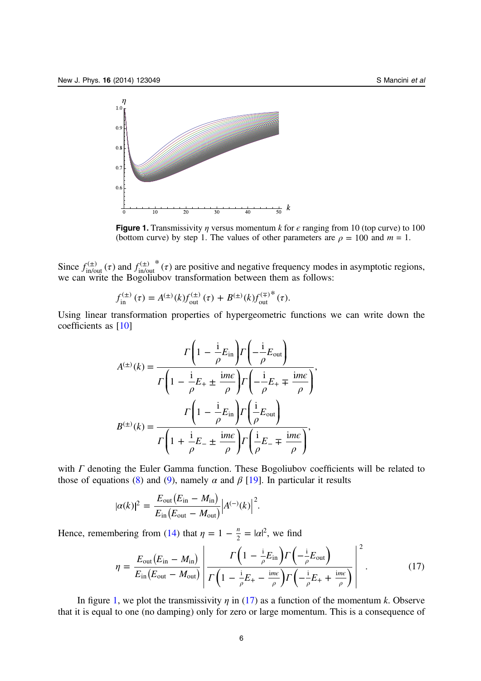

**Figure 1.** Transmissivity  $\eta$  versus momentum k for  $\epsilon$  ranging from 10 (top curve) to 100 (bottom curve) by step 1. The values of other parameters are  $\rho = 100$  and  $m = 1$ .

Since  $f_{\text{in/out}}^{(\pm)}(\tau)$  and  $f_{\text{in/out}}^{(\pm)}(\tau)$  are positive and negative frequency modes in asymptotic regions, we can write the Bogoliubov transformation between them as follows:

$$
f_{\text{in}}^{(\pm)}(\tau) = A^{(\pm)}(k) f_{\text{out}}^{(\pm)}(\tau) + B^{(\pm)}(k) f_{\text{out}}^{(\mp)}^*(\tau).
$$

Using linear transformation properties of hypergeometric functions we can write down the coefficients as [[10\]](#page-20-0)

$$
A^{(\pm)}(k) = \frac{\Gamma\left(1 - \frac{i}{\rho}E_{\text{in}}\right)\Gamma\left(-\frac{i}{\rho}E_{\text{out}}\right)}{\Gamma\left(1 - \frac{i}{\rho}E_{+} \pm \frac{\text{im}\epsilon}{\rho}\right)\Gamma\left(-\frac{i}{\rho}E_{+} \mp \frac{\text{im}\epsilon}{\rho}\right)},
$$

$$
B^{(\pm)}(k) = \frac{\Gamma\left(1 - \frac{i}{\rho}E_{\text{in}}\right)\Gamma\left(\frac{i}{\rho}E_{\text{out}}\right)}{\Gamma\left(1 + \frac{i}{\rho}E_{-} \pm \frac{\text{im}\epsilon}{\rho}\right)\Gamma\left(\frac{i}{\rho}E_{-} \mp \frac{\text{im}\epsilon}{\rho}\right)},
$$

with  $\Gamma$  denoting the Euler Gamma function. These Bogoliubov coefficients will be related to those of equations ([8\)](#page-5-0) and ([9\)](#page-5-0), namely  $\alpha$  and  $\beta$  [[19\]](#page-20-0). In particular it results

$$
|\alpha(k)|^2 = \frac{E_{\text{out}}(E_{\text{in}} - M_{\text{in}})}{E_{\text{in}}(E_{\text{out}} - M_{\text{out}})} |A^{(-)}(k)|^2.
$$

Hence, remembering from ([14\)](#page-6-0) that  $\eta = 1 - \frac{n}{2} = |\alpha|^2$ , we find

$$
\eta = \frac{E_{\text{out}}(E_{\text{in}} - M_{\text{in}})}{E_{\text{in}}(E_{\text{out}} - M_{\text{out}})} \left| \frac{\Gamma\left(1 - \frac{\text{i}}{\rho}E_{\text{in}}\right)\Gamma\left(-\frac{\text{i}}{\rho}E_{\text{out}}\right)}{\Gamma\left(1 - \frac{\text{i}}{\rho}E_{+} - \frac{\text{i}}{\rho}\right)\Gamma\left(-\frac{\text{i}}{\rho}E_{+} + \frac{\text{i}}{\rho}\right)}\right|^{2}.
$$
(17)

In figure 1, we plot the transmissivity  $\eta$  in (17) as a function of the momentum k. Observe that it is equal to one (no damping) only for zero or large momentum. This is a consequence of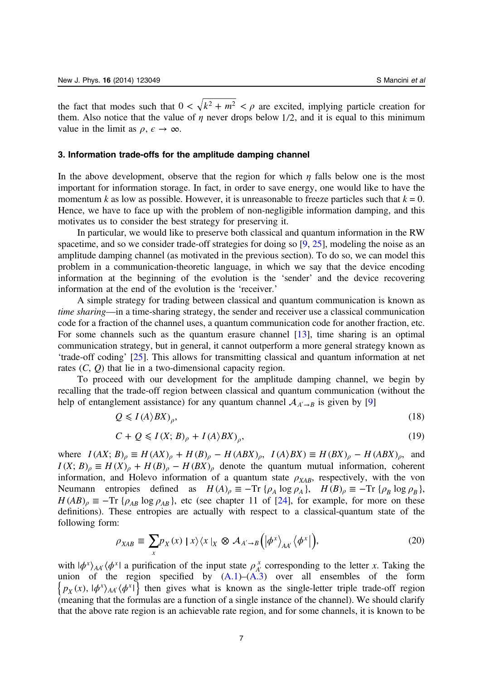<span id="page-8-0"></span>the fact that modes such that  $0 < \sqrt{k^2 + m^2} < \rho$  are excited, implying particle creation for them. Also notice that the value of  $\eta$  never drops below 1/2, and it is equal to this minimum value in the limit as  $\rho$ ,  $\epsilon \to \infty$ .

#### 3. Information trade-offs for the amplitude damping channel

In the above development, observe that the region for which  $\eta$  falls below one is the most important for information storage. In fact, in order to save energy, one would like to have the momentum k as low as possible. However, it is unreasonable to freeze particles such that  $k = 0$ . Hence, we have to face up with the problem of non-negligible information damping, and this motivates us to consider the best strategy for preserving it.

In particular, we would like to preserve both classical and quantum information in the RW spacetime, and so we consider trade-off strategies for doing so [[9,](#page-19-0) [25\]](#page-20-0), modeling the noise as an amplitude damping channel (as motivated in the previous section). To do so, we can model this problem in a communication-theoretic language, in which we say that the device encoding information at the beginning of the evolution is the 'sender' and the device recovering information at the end of the evolution is the 'receiver.'

A simple strategy for trading between classical and quantum communication is known as time sharing—in a time-sharing strategy, the sender and receiver use a classical communication code for a fraction of the channel uses, a quantum communication code for another fraction, etc. For some channels such as the quantum erasure channel [[13\]](#page-20-0), time sharing is an optimal communication strategy, but in general, it cannot outperform a more general strategy known as 'trade-off coding' [\[25](#page-20-0)]. This allows for transmitting classical and quantum information at net rates  $(C, Q)$  that lie in a two-dimensional capacity region.

To proceed with our development for the amplitude damping channel, we begin by recalling that the trade-off region between classical and quantum communication (without the help of entanglement assistance) for any quantum channel  $A_{A' \rightarrow B}$  is given by [[9\]](#page-19-0)

$$
Q \leqslant I(A \rangle BX)_{\rho},\tag{18}
$$

$$
C + Q \le I(X; B)_{\rho} + I(A \rangle BX)_{\rho},\tag{19}
$$

where  $I(AX; B)_{\rho} \equiv H(AX)_{\rho} + H(B)_{\rho} - H(ABX)_{\rho}$ ,  $I(A\rangle BX) \equiv H(BX)_{\rho} - H(ABX)_{\rho}$ , and  $I(X; B)$ <sub>p</sub> =  $H(X)$ <sub>p</sub> +  $H(B)$ <sub>p</sub> -  $H(BX)$ <sub>p</sub> denote the quantum mutual information, coherent information, and Holevo information of a quantum state  $\rho_{XAB}$ , respectively, with the von Neumann entropies defined as  $H(A)_{\rho} \equiv -\text{Tr} \{ \rho_A \log \rho_A \}, H(B)_{\rho} \equiv -\text{Tr} \{ \rho_B \log \rho_B \},$  $H(AB)_{\rho} \equiv -\text{Tr} \{ \rho_{AB} \log \rho_{AB} \}$ , etc (see chapter 11 of [[24\]](#page-20-0), for example, for more on these definitions). These entropies are actually with respect to a classical-quantum state of the following form:

$$
\rho_{XAB} \equiv \sum_{x} p_X(x) \mid x \rangle \langle x \mid_X \otimes A_{A' \to B} \left( \left| \phi^x \right\rangle_{AA'} \left\langle \phi^x \right| \right), \tag{20}
$$

with  $\ket{\phi^x}_{AA'}$   $\langle \phi^x \rangle$  a purification of the input state  $\rho^x_A$  corresponding to the letter x. Taking the union of the region specified by  $(A.1)$  $(A.1)$  $(A.1)$ – $(A.3)$  $(A.3)$  over all ensembles of the form  $\{ p_{\rm y}(x), |\phi^x\rangle_{AA'}\langle \phi^x| \}$  then gives what is known as the single-letter triple trade-off region (meaning that the formulas are a function of a single instance of the channel). We should clarify that the above rate region is an achievable rate region, and for some channels, it is known to be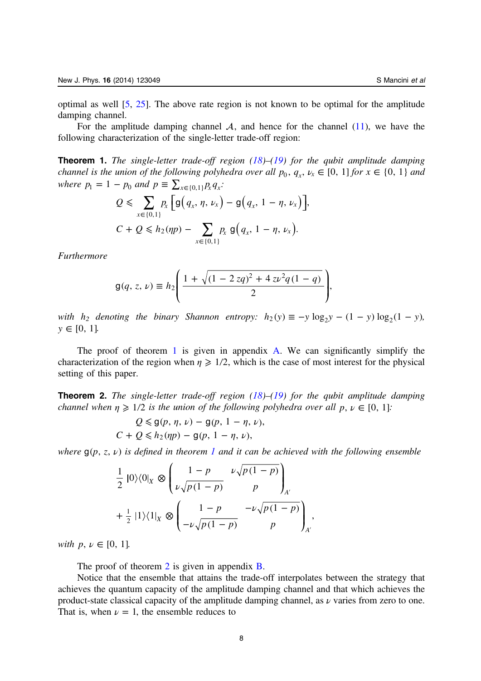<span id="page-9-0"></span>optimal as well [[5,](#page-19-0) [25](#page-20-0)]. The above rate region is not known to be optimal for the amplitude damping channel.

For the amplitude damping channel  $A$ , and hence for the channel ([11\)](#page-5-0), we have the following characterization of the single-letter trade-off region:

**Theorem 1.** The single-letter trade-off region  $(18)$  $(18)$ – $(19)$  $(19)$  for the qubit amplitude damping channel is the union of the following polyhedra over all  $p_0, q_x, \nu_x \in [0, 1]$  *for*  $x \in \{0, 1\}$  and where  $p_1 = 1 - p_0$  and  $p \equiv \sum_{x \in \{0,1\}} p_x q_x$ :

$$
Q \leqslant \sum_{x \in \{0,1\}} p_x \left[ \mathsf{g}(q_x, \eta, \nu_x) - \mathsf{g}(q_x, 1 - \eta, \nu_x) \right],
$$
  

$$
C + Q \leqslant h_2(\eta p) - \sum_{x \in \{0,1\}} p_x \mathsf{g}(q_x, 1 - \eta, \nu_x).
$$

Furthermore

$$
g(q, z, \nu) \equiv h_2 \left( \frac{1 + \sqrt{(1 - 2 z q)^2 + 4 z \nu^2 q (1 - q)}}{2} \right),
$$

with h<sub>2</sub> denoting the binary Shannon entropy:  $h_2(y) \equiv -y \log_2 y - (1 - y) \log_2 (1 - y)$ , *y* ∈ [0, 1].

The proof of theorem 1 is given in appendix [A](#page-11-0). We can significantly simplify the characterization of the region when  $\eta \geq 1/2$ , which is the case of most interest for the physical setting of this paper.

**Theorem 2.** The single-letter trade-off region  $(18)$  $(18)$ – $(19)$  $(19)$  for the qubit amplitude damping channel when  $\eta \geq 1/2$  is the union of the following polyhedra over all  $p, \nu \in [0, 1]$ *:* 

$$
Q \leqslant g(p, \eta, \nu) - g(p, 1 - \eta, \nu),
$$
  

$$
C + Q \leqslant h_2(\eta p) - g(p, 1 - \eta, \nu),
$$

where  $g(p, z, \nu)$  is defined in theorem 1 and it can be achieved with the following ensemble

$$
\frac{1}{2} |0\rangle\langle 0|_X \otimes \left(\frac{1-p}{\nu\sqrt{p(1-p)}} \frac{\nu\sqrt{p(1-p)}}{p}\right)_{A'}
$$
  
+
$$
\frac{1}{2} |1\rangle\langle 1|_X \otimes \left(\frac{1-p}{-\nu\sqrt{p(1-p)}} \frac{-\nu\sqrt{p(1-p)}}{p}\right)_{A'}
$$

*with*  $p, \nu \in [0, 1]$ .

The proof of theorem 2 is given in appendix **[B](#page-15-0)**.

Notice that the ensemble that attains the trade-off interpolates between the strategy that achieves the quantum capacity of the amplitude damping channel and that which achieves the product-state classical capacity of the amplitude damping channel, as  $\nu$  varies from zero to one. That is, when  $\nu = 1$ , the ensemble reduces to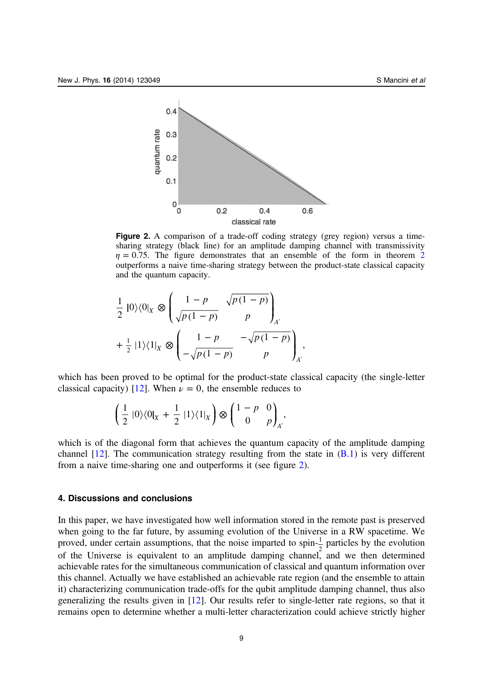

Figure 2. A comparison of a trade-off coding strategy (grey region) versus a timesharing strategy (black line) for an amplitude damping channel with transmissivity  $\eta = 0.75$ . The figure demonstrates that an ensemble of the form in theorem [2](#page-9-0) outperforms a naive time-sharing strategy between the product-state classical capacity and the quantum capacity.

$$
\frac{1}{2} |0\rangle\langle 0|_{X} \otimes \left(\frac{1-p}{\sqrt{p(1-p)}} \frac{\sqrt{p(1-p)}}{p}\right)_{A'}
$$

$$
+\frac{1}{2} |1\rangle\langle 1|_{X} \otimes \left(\frac{1-p}{-\sqrt{p(1-p)}} - \sqrt{p(1-p)}}{p}\right)_{A'},
$$

which has been proved to be optimal for the product-state classical capacity (the single-letter classical capacity) [[12\]](#page-20-0). When  $\nu = 0$ , the ensemble reduces to

$$
\left(\frac{1}{2} |0\rangle\langle 0|_X + \frac{1}{2} |1\rangle\langle 1|_X\right) \otimes \left(\begin{array}{cc} 1-p & 0 \\ 0 & p \end{array}\right)_A,
$$

which is of the diagonal form that achieves the quantum capacity of the amplitude damping channel  $[12]$  $[12]$ . The communication strategy resulting from the state in  $(B.1)$  $(B.1)$  is very different from a naive time-sharing one and outperforms it (see figure 2).

#### 4. Discussions and conclusions

In this paper, we have investigated how well information stored in the remote past is preserved when going to the far future, by assuming evolution of the Universe in a RW spacetime. We proved, under certain assumptions, that the noise imparted to spin- $\frac{1}{2}$  particles by the evolution of the Universe is equivalent to an amplitude damping channel, and we then determined achievable rates for the simultaneous communication of classical and quantum information over this channel. Actually we have established an achievable rate region (and the ensemble to attain it) characterizing communication trade-offs for the qubit amplitude damping channel, thus also generalizing the results given in [[12\]](#page-20-0). Our results refer to single-letter rate regions, so that it remains open to determine whether a multi-letter characterization could achieve strictly higher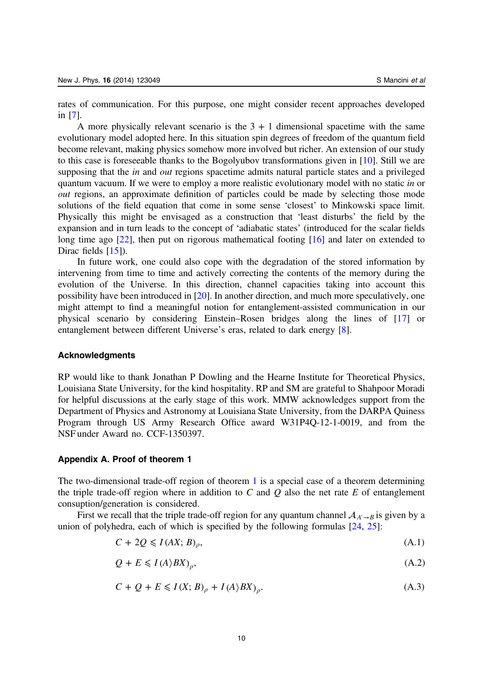<span id="page-11-0"></span>rates of communication. For this purpose, one might consider recent approaches developed in [[7\]](#page-19-0).

A more physically relevant scenario is the  $3 + 1$  dimensional spacetime with the same evolutionary model adopted here. In this situation spin degrees of freedom of the quantum field become relevant, making physics somehow more involved but richer. An extension of our study to this case is foreseeable thanks to the Bogolyubov transformations given in [\[10\]](#page-20-0). Still we are supposing that the *in* and *out* regions spacetime admits natural particle states and a privileged quantum vacuum. If we were to employ a more realistic evolutionary model with no static in or out regions, an approximate definition of particles could be made by selecting those mode solutions of the field equation that come in some sense 'closest' to Minkowski space limit. Physically this might be envisaged as a construction that 'least disturbs' the field by the expansion and in turn leads to the concept of 'adiabatic states' (introduced for the scalar fields long time ago [\[22\]](#page-20-0), then put on rigorous mathematical footing [\[16](#page-20-0)] and later on extended to Dirac fields [\[15](#page-20-0)]).

In future work, one could also cope with the degradation of the stored information by intervening from time to time and actively correcting the contents of the memory during the evolution of the Universe. In this direction, channel capacities taking into account this possibility have been introduced in [[20\]](#page-20-0). In another direction, and much more speculatively, one might attempt to find a meaningful notion for entanglement-assisted communication in our physical scenario by considering Einstein–Rosen bridges along the lines of [[17\]](#page-20-0) or entanglement between different Universe's eras, related to dark energy [[8\]](#page-19-0).

#### Acknowledgments

RP would like to thank Jonathan P Dowling and the Hearne Institute for Theoretical Physics, Louisiana State University, for the kind hospitality. RP and SM are grateful to Shahpoor Moradi for helpful discussions at the early stage of this work. MMW acknowledges support from the Department of Physics and Astronomy at Louisiana State University, from the DARPA Quiness Program through US Army Research Office award W31P4Q-12-1-0019, and from the NSF under Award no. CCF-1350397.

#### Appendix A. Proof of theorem 1

The two-dimensional trade-off region of theorem [1](#page-9-0) is a special case of a theorem determining the triple trade-off region where in addition to  $C$  and  $Q$  also the net rate  $E$  of entanglement consuption/generation is considered.

First we recall that the triple trade-off region for any quantum channel  $A_{A' \rightarrow B}$  is given by a union of polyhedra, each of which is specified by the following formulas [[24,](#page-20-0) [25\]](#page-20-0):

$$
C + 2Q \le I(AX; B)_{\rho},\tag{A.1}
$$

$$
Q + E \le I(A \rangle BX)_{\rho},\tag{A.2}
$$

$$
C + Q + E \leqslant I(X; B)_{\rho} + I(A \rangle BX)_{\rho}.
$$
\n(A.3)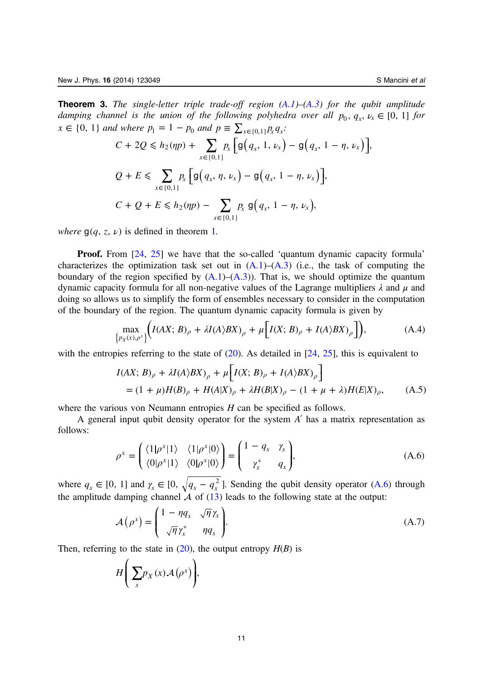<span id="page-12-0"></span>**Theorem 3.** The single-letter triple trade-off region  $(A.1)$ – $(A.3)$  $(A.3)$  for the qubit amplitude damping channel is the union of the following polyhedra over all  $p_0, q_x, v_x \in [0, 1]$  *for*  $x \in \{0, 1\}$  and where  $p_1 = 1 - p_0$  and  $p \equiv \sum_{x \in \{0, 1\}} p_x q_x$ .

$$
C + 2Q \le h_2(\eta p) + \sum_{x \in \{0,1\}} p_x \Big[ g(q_x, 1, \nu_x) - g(q_x, 1 - \eta, \nu_x) \Big],
$$
  

$$
Q + E \le \sum_{x \in \{0,1\}} p_x \Big[ g(q_x, \eta, \nu_x) - g(q_x, 1 - \eta, \nu_x) \Big],
$$
  

$$
C + Q + E \le h_2(\eta p) - \sum_{x \in \{0,1\}} p_x g(q_x, 1 - \eta, \nu_x),
$$

where  $g(q, z, \nu)$  is defined in theorem [1](#page-9-0).

**Proof.** From [[24,](#page-20-0) [25\]](#page-20-0) we have that the so-called 'quantum dynamic capacity formula' characterizes the optimization task set out in  $(A.1)$  $(A.1)$  $(A.1)$ – $(A.3)$  $(A.3)$  $(A.3)$  (i.e., the task of computing the boundary of the region specified by  $(A.1)$  $(A.1)$  $(A.1)$ – $(A.3)$  $(A.3)$ ). That is, we should optimize the quantum dynamic capacity formula for all non-negative values of the Lagrange multipliers  $λ$  and  $μ$  and doing so allows us to simplify the form of ensembles necessary to consider in the computation of the boundary of the region. The quantum dynamic capacity formula is given by

$$
\max_{\left\{p_X(x),\rho^x\right\}} \biggl(I(AX;B)_{\rho} + \lambda I(A \rangle BX)_{\rho} + \mu \biggl[I(X;B)_{\rho} + I(A \rangle BX)_{\rho}\biggr]\biggr),\tag{A.4}
$$

with the entropies referring to the state of  $(20)$  $(20)$ . As detailed in [[24,](#page-20-0) [25\]](#page-20-0), this is equivalent to

$$
I(AX; B)_{\rho} + \lambda I(A \rangle BX)_{\rho} + \mu \left[ I(X; B)_{\rho} + I(A \rangle BX)_{\rho} \right]
$$
  
=  $(1 + \mu)H(B)_{\rho} + H(A|X)_{\rho} + \lambda H(B|X)_{\rho} - (1 + \mu + \lambda)H(E|X)_{\rho},$  (A.5)

where the various von Neumann entropies  $H$  can be specified as follows.

A general input qubit density operator for the system *A*′ has a matrix representation as follows:

$$
\rho^x = \begin{pmatrix} \langle 1|\rho^x|1\rangle & \langle 1|\rho^x|0\rangle \\ \langle 0|\rho^x|1\rangle & \langle 0|\rho^x|0\rangle \end{pmatrix} = \begin{pmatrix} 1-q_x & \gamma_x \\ \gamma_x^* & q_x \end{pmatrix},
$$
(A.6)

where  $q_x \in [0, 1]$  and  $\gamma_x \in [0, \sqrt{q_x - q_x^2}]$ . Sending the qubit density operator (A.6) through the amplitude damping channel  $\mathcal A$  of [\(13](#page-6-0)) leads to the following state at the output:

$$
\mathcal{A}(\rho^x) = \begin{pmatrix} 1 - \eta q_x & \sqrt{\eta} \gamma_x \\ \sqrt{\eta} \gamma_x^* & \eta q_x \end{pmatrix} .
$$
 (A.7)

Then, referring to the state in  $(20)$  $(20)$ , the output entropy  $H(B)$  is

 $\overline{a}$ ⎝ ⎜ ⎜  $\overline{ }$ ⎠  $H\left[\sum p_X(x) \mathcal{A}\left(\rho^x\right)\right],$ *x*  $\chi(x)$  $\mathcal{A}(\rho^x)$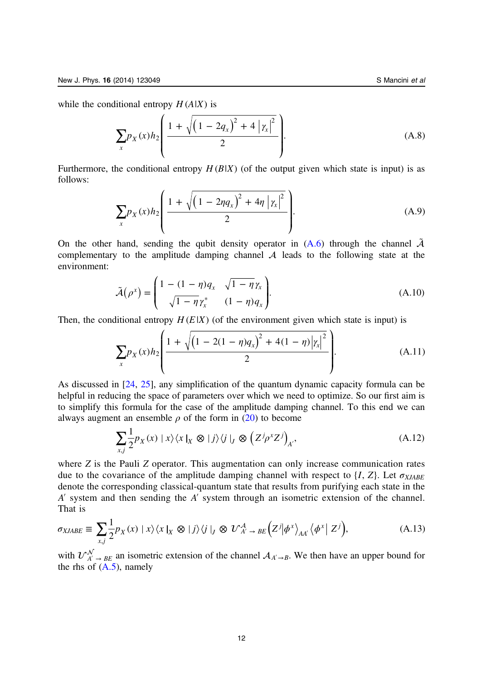<span id="page-13-0"></span>while the conditional entropy  $H(A|X)$  is

$$
\sum_{x} p_X(x) h_2 \left( \frac{1 + \sqrt{(1 - 2q_x)^2 + 4 | \gamma_x |^2}}{2} \right). \tag{A.8}
$$

Furthermore, the conditional entropy  $H(B|X)$  (of the output given which state is input) is as follows:

$$
\sum_{x} p_{X}(x) h_{2} \left( \frac{1 + \sqrt{(1 - 2\eta q_{x})^{2} + 4\eta \left| \gamma_{x} \right|^{2}}}{2} \right).
$$
 (A.9)

On the other hand, sending the qubit density operator in  $(A.6)$  $(A.6)$  through the channel  $\tilde{A}$ complementary to the amplitude damping channel  $A$  leads to the following state at the environment:

$$
\tilde{\mathcal{A}}(\rho^x) = \begin{pmatrix} 1 - (1 - \eta)q_x & \sqrt{1 - \eta} \gamma_x \\ \sqrt{1 - \eta} \gamma_x^* & (1 - \eta) q_x \end{pmatrix} .
$$
\n(A.10)

Then, the conditional entropy  $H(E|X)$  (of the environment given which state is input) is

$$
\sum_{x} p_X(x) h_2 \left( \frac{1 + \sqrt{\left(1 - 2(1 - \eta) q_x\right)^2 + 4(1 - \eta) \left|\chi\right|^2}}{2} \right). \tag{A.11}
$$

As discussed in [\[24](#page-20-0), [25](#page-20-0)], any simplification of the quantum dynamic capacity formula can be helpful in reducing the space of parameters over which we need to optimize. So our first aim is to simplify this formula for the case of the amplitude damping channel. To this end we can always augment an ensemble  $\rho$  of the form in [\(20](#page-8-0)) to become

$$
\sum_{x,j} \frac{1}{2} p_X(x) \mid x \rangle \langle x \mid_X \otimes \mid j \rangle \langle j \mid_J \otimes \left( Z^j \rho^x Z^j \right)_{A'}, \tag{A.12}
$$

where Z is the Pauli Z operator. This augmentation can only increase communication rates due to the covariance of the amplitude damping channel with respect to  $\{I, Z\}$ . Let  $\sigma_{XIABE}$ denote the corresponding classical-quantum state that results from purifying each state in the *A*′ system and then sending the *A*′ system through an isometric extension of the channel. That is

$$
\sigma_{XJABE} \equiv \sum_{x,j} \frac{1}{2} p_X(x) \mid x \rangle \langle x \mid_X \otimes \mid j \rangle \langle j \mid_J \otimes \mathcal{U}^{\mathcal{A}}_{A' \to BE} \Big( Z^j \big| \phi^x \Big)_{AA'} \langle \phi^x \mid Z^j \Big), \tag{A.13}
$$

with  $\mathcal{U}_{A' \to BE}^{\mathcal{N}}$  an isometric extension of the channel  $\mathcal{A}_{A' \to B}$ . We then have an upper bound for the rhs of  $(A.5)$ , namely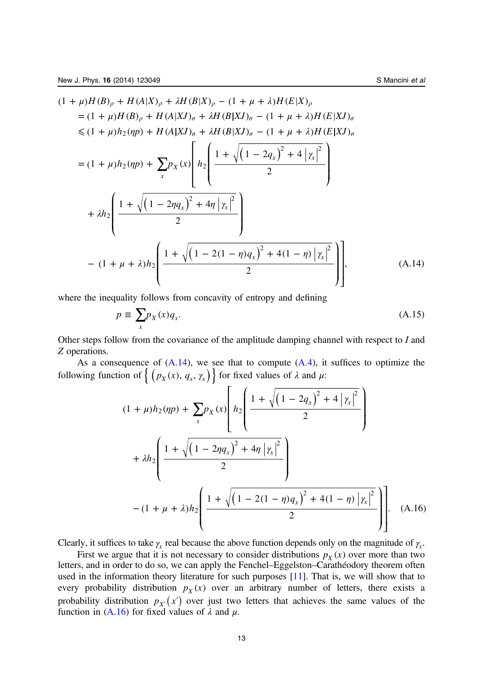<span id="page-14-0"></span>
$$
(1 + \mu)H(B)_{\rho} + H(A|X)_{\rho} + \lambda H(B|X)_{\rho} - (1 + \mu + \lambda)H(E|X)_{\rho}
$$
  
\n
$$
= (1 + \mu)H(B)_{\rho} + H(A|XJ)_{\sigma} + \lambda H(B|XJ)_{\sigma} - (1 + \mu + \lambda)H(E|XJ)_{\sigma}
$$
  
\n
$$
\leq (1 + \mu)h_2(\eta p) + H(A|XJ)_{\sigma} + \lambda H(B|XJ)_{\sigma} - (1 + \mu + \lambda)H(E|XJ)_{\sigma}
$$
  
\n
$$
= (1 + \mu)h_2(\eta p) + \sum_{x} p_x(x) \left[ h_2 \left( \frac{1 + \sqrt{(1 - 2q_x)^2 + 4 |x_x|^2}}{2} \right) + \lambda h_2 \left( \frac{1 + \sqrt{(1 - 2q_x)^2 + 4\eta |x_x|^2}}{2} \right) \right]
$$
  
\n
$$
= (1 + \mu + \lambda)h_2 \left( \frac{1 + \sqrt{(1 - 2(1 - \eta)q_x)^2 + 4(1 - \eta) |x_x|^2}}{2} \right).
$$
  
\n
$$
(A.14)
$$

where the inequality follows from concavity of entropy and defining

$$
p \equiv \sum_{x} p_X(x) q_x. \tag{A.15}
$$

Other steps follow from the covariance of the amplitude damping channel with respect to I and Z operations.

As a consequence of  $(A.14)$ , we see that to compute  $(A.4)$ , it suffices to optimize the following function of  $\{ (p_X(x), q_x, \gamma_x) \}$  for fixed values of  $\lambda$  and  $\mu$ :

$$
(1 + \mu)h_2(\eta p) + \sum_{x} p_X(x) \left[ h_2 \left( \frac{1 + \sqrt{(1 - 2q_x)^2 + 4 | \gamma_x|^2}}{2} \right) + \lambda h_2 \left( \frac{1 + \sqrt{(1 - 2q_q)^2 + 4\eta | \gamma_x|^2}}{2} \right) - (1 + \mu + \lambda)h_2 \left( \frac{1 + \sqrt{(1 - 2(1 - \eta)q_x)^2 + 4(1 - \eta) | \gamma_x|^2}}{2} \right) \right].
$$
 (A.16)

Clearly, it suffices to take  $\gamma$ <sup>*x*</sup> real because the above function depends only on the magnitude of  $\gamma$ <sup>*x*</sup>.

First we argue that it is not necessary to consider distributions  $p<sub>x</sub>(x)$  over more than two letters, and in order to do so, we can apply the Fenchel–Eggelston–Carathéodory theorem often used in the information theory literature for such purposes [[11\]](#page-20-0). That is, we will show that to every probability distribution  $p<sub>X</sub>(x)$  over an arbitrary number of letters, there exists a probability distribution  $p_{X}(x')$  over just two letters that achieves the same values of the function in (A.16) for fixed values of  $\lambda$  and  $\mu$ .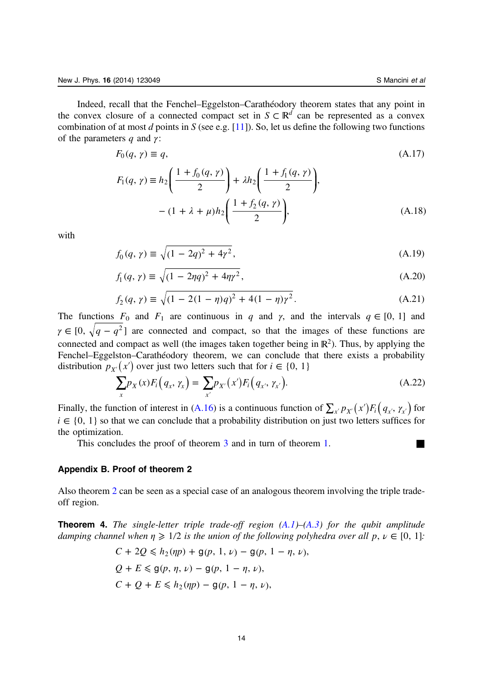<span id="page-15-0"></span>Indeed, recall that the Fenchel–Eggelston–Carathéodory theorem states that any point in the convex closure of a connected compact set in  $S \subset \mathbb{R}^d$  can be represented as a convex combination of at most d points in S (see e.g. [\[11](#page-20-0)]). So, let us define the following two functions of the parameters *q* and *γ*:

$$
F_0(q, \gamma) \equiv q,
$$
\n(A.17)  
\n
$$
F_1(q, \gamma) \equiv h_2 \left( \frac{1 + f_0(q, \gamma)}{2} \right) + \lambda h_2 \left( \frac{1 + f_1(q, \gamma)}{2} \right),
$$
\n(A.18)

with

$$
f_0(q, \gamma) \equiv \sqrt{(1 - 2q)^2 + 4\gamma^2}, \tag{A.19}
$$

$$
f_1(q, \gamma) \equiv \sqrt{(1 - 2\eta q)^2 + 4\eta \gamma^2},
$$
 (A.20)

$$
f_2(q, \gamma) \equiv \sqrt{(1 - 2(1 - \eta)q)^2 + 4(1 - \eta)\gamma^2}.
$$
 (A.21)

The functions  $F_0$  and  $F_1$  are continuous in q and  $\gamma$ , and the intervals  $q \in [0, 1]$  and  $\gamma \in [0, \sqrt{q-q^2}]$  are connected and compact, so that the images of these functions are connected and compact as well (the images taken together being in  $\mathbb{R}^2$ ). Thus, by applying the Fenchel–Eggelston–Carathéodory theorem, we can conclude that there exists a probability distribution  $p_{X'}(x')$  over just two letters such that for  $i \in \{0, 1\}$ 

$$
\sum_{x} p_X(x) F_i\big(q_x, \gamma_x\big) = \sum_{x'} p_{X'}(x') F_i\big(q_{x'}, \gamma_{x'}\big). \tag{A.22}
$$

Finally, the function of interest in [\(A.16](#page-14-0)) is a continuous function of  $\sum_{x'} p_{X'}(x') F_i(q_{x'}, \gamma_{x'})$  for  $i \in \{0, 1\}$  so that we can conclude that a probability distribution on just two letters suffices for the optimization.

This concludes the proof of theorem [3](#page-12-0) and in turn of theorem [1.](#page-9-0)  $\blacksquare$ 

#### Appendix B. Proof of theorem 2

Also theorem [2](#page-9-0) can be seen as a special case of an analogous theorem involving the triple tradeoff region.

**Theorem 4.** The single-letter triple trade-off region  $(A,1)$ – $(A,3)$  for the qubit amplitude damping channel when  $\eta \geq 1/2$  is the union of the following polyhedra over all  $p, \nu \in [0, 1]$ :

$$
C + 2Q \le h_2(\eta p) + g(p, 1, \nu) - g(p, 1 - \eta, \nu),
$$
  
\n
$$
Q + E \le g(p, \eta, \nu) - g(p, 1 - \eta, \nu),
$$
  
\n
$$
C + Q + E \le h_2(\eta p) - g(p, 1 - \eta, \nu),
$$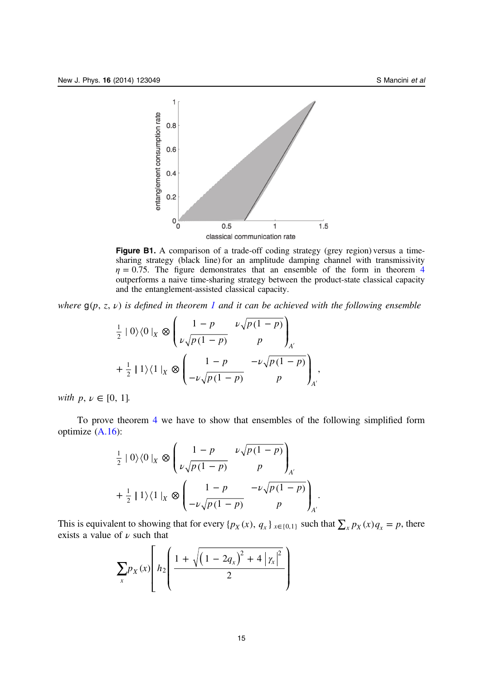<span id="page-16-0"></span>

Figure B1. A comparison of a trade-off coding strategy (grey region) versus a timesharing strategy (black line) for an amplitude damping channel with transmissivity  $\eta = 0.75$ . The figure demonstrates that an ensemble of the form in theorem [4](#page-15-0) outperforms a naive time-sharing strategy between the product-state classical capacity and the entanglement-assisted classical capacity.

where  $g(p, z, \nu)$  is defined in theorem [1](#page-9-0) and it can be achieved with the following ensemble

$$
\frac{1}{2} | 0 \rangle \langle 0 |_{X} \otimes \left( \frac{1-p}{\nu \sqrt{p(1-p)}} \frac{\nu \sqrt{p(1-p)}}{p} \right)_{A'} + \frac{1}{2} | 1 \rangle \langle 1 |_{X} \otimes \left( \frac{1-p}{-\nu \sqrt{p(1-p)}} \frac{-\nu \sqrt{p(1-p)}}{p} \right)_{A'} ,
$$

with  $p, \nu \in [0, 1]$ *.* 

To prove theorem [4](#page-15-0) we have to show that ensembles of the following simplified form optimize ([A.16](#page-14-0)):

$$
\frac{1}{2} |0\rangle\langle 0|_{X} \otimes \left(\frac{1-p}{\nu\sqrt{p(1-p)}} \frac{\nu\sqrt{p(1-p)}}{p}\right)_{A'} + \frac{1}{2} |1\rangle\langle 1|_{X} \otimes \left(\frac{1-p}{-\nu\sqrt{p(1-p)}} \frac{-\nu\sqrt{p(1-p)}}{p}\right)_{A'}.
$$

This is equivalent to showing that for every  $\{p_X(x), q_X\}_{x \in \{0,1\}}$  such that  $\sum_x p_X(x)q_x = p$ , there exists a value of  $\nu$  such that

$$
\sum_{x} p_{X}(x) \left[ h_{2} \left( \frac{1 + \sqrt{(1 - 2q_{x})^{2} + 4 | \gamma_{x} |^{2}}}{2} \right) \right]
$$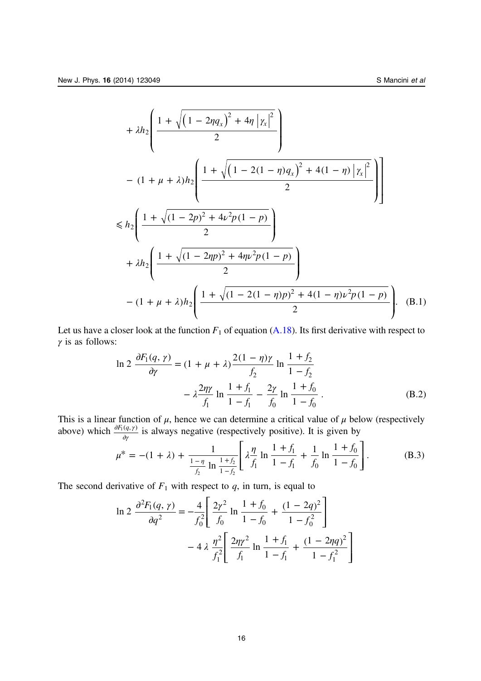<span id="page-17-0"></span>
$$
+ \lambda h_2 \left( \frac{1 + \sqrt{(1 - 2\eta q_x)^2 + 4\eta \left| \gamma_x \right|^2}}{2} \right)
$$
  
- 
$$
(1 + \mu + \lambda) h_2 \left( \frac{1 + \sqrt{(1 - 2(1 - \eta)q_x)^2 + 4(1 - \eta) \left| \gamma_x \right|^2}}{2} \right) \right]
$$
  

$$
\leq h_2 \left( \frac{1 + \sqrt{(1 - 2p)^2 + 4\nu^2 p (1 - p)}}{2} \right)
$$
  
+ 
$$
\lambda h_2 \left( \frac{1 + \sqrt{(1 - 2\eta p)^2 + 4\eta \nu^2 p (1 - p)}}{2} \right)
$$
  
- 
$$
(1 + \mu + \lambda) h_2 \left( \frac{1 + \sqrt{(1 - 2(1 - \eta)p)^2 + 4(1 - \eta)\nu^2 p (1 - p)}}{2} \right).
$$
 (B.1)

Let us have a closer look at the function  $F_1$  of equation ([A.18](#page-15-0)). Its first derivative with respect to  $\gamma$  is as follows:

$$
\ln 2 \frac{\partial F_1(q, \gamma)}{\partial \gamma} = (1 + \mu + \lambda) \frac{2(1 - \eta)\gamma}{f_2} \ln \frac{1 + f_2}{1 - f_2}
$$

$$
- \lambda \frac{2\eta\gamma}{f_1} \ln \frac{1 + f_1}{1 - f_1} - \frac{2\gamma}{f_0} \ln \frac{1 + f_0}{1 - f_0}.
$$
(B.2)

This is a linear function of  $\mu$ , hence we can determine a critical value of  $\mu$  below (respectively above) which  $\frac{\partial F_1(q, \gamma)}{\partial \gamma}$ ∂  $\frac{F_1(q, \gamma)}{\partial \gamma}$  is always negative (respectively positive). It is given by

$$
\mu^* = -(1 + \lambda) + \frac{1}{\frac{1 - \eta}{f_2} \ln \frac{1 + f_2}{1 - f_2}} \left[ \lambda \frac{\eta}{f_1} \ln \frac{1 + f_1}{1 - f_1} + \frac{1}{f_0} \ln \frac{1 + f_0}{1 - f_0} \right].
$$
 (B.3)

The second derivative of  $F_1$  with respect to  $q$ , in turn, is equal to

$$
\ln 2 \frac{\partial^2 F_1(q, \gamma)}{\partial q^2} = -\frac{4}{f_0^2} \left[ \frac{2\gamma^2}{f_0} \ln \frac{1+f_0}{1-f_0} + \frac{(1-2q)^2}{1-f_0^2} \right] - 4 \lambda \frac{\eta^2}{f_1^2} \left[ \frac{2\eta \gamma^2}{f_1} \ln \frac{1+f_1}{1-f_1} + \frac{(1-2\eta q)^2}{1-f_1^2} \right]
$$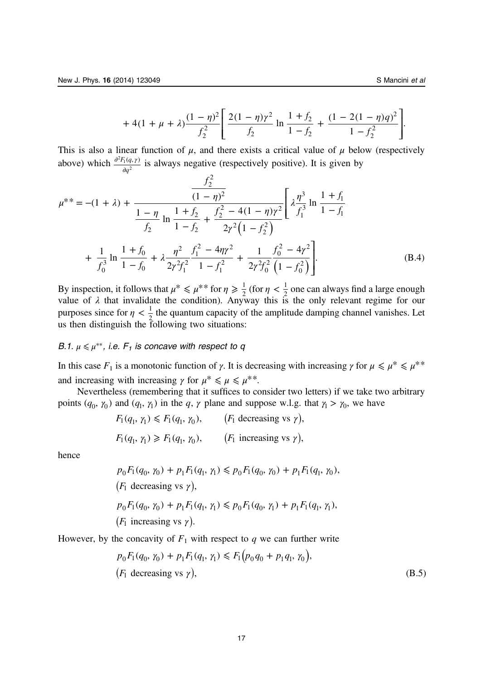$$
+ 4(1 + \mu + \lambda) \frac{(1 - \eta)^2}{f_2^2} \left[ \frac{2(1 - \eta)\gamma^2}{f_2} \ln \frac{1 + f_2}{1 - f_2} + \frac{(1 - 2(1 - \eta)q)^2}{1 - f_2^2} \right].
$$

This is also a linear function of  $\mu$ , and there exists a critical value of  $\mu$  below (respectively above) which  $\frac{\partial^2 F_1(q, \gamma)}{\partial q^2}$  $F_1(q)$ *q*  $\frac{^{2}F_{1}(q, \gamma)}{^{2}c^{2}}$  is always negative (respectively positive). It is given by

$$
\mu^{**} = -(1 + \lambda) + \frac{\frac{f_2^2}{(1 - \eta)^2}}{\frac{1 - \eta}{f_2} \ln \frac{1 + f_2}{1 - f_2} + \frac{f_2^2 - 4(1 - \eta)\gamma^2}{2\gamma^2(1 - f_2^2)}} \left[ \lambda \frac{\eta^3}{f_1^3} \ln \frac{1 + f_1}{1 - f_1} + \frac{1}{f_0^3} \ln \frac{1 + f_0}{1 - f_0} + \lambda \frac{\eta^2}{2\gamma^2 f_1^2} \frac{f_1^2 - 4\eta\gamma^2}{1 - f_1^2} + \frac{1}{2\gamma^2 f_0^2} \frac{f_0^2 - 4\gamma^2}{(1 - f_0^2)} \right].
$$
\n(B.4)

By inspection, it follows that  $\mu^* \le \mu^{**}$  for  $\eta \ge \frac{1}{2}$  (for  $\eta < \frac{1}{2}$  one can always find a large enough value of  $\lambda$  that invalidate the condition). Anyway this is the only relevant regime for our purposes since for  $\eta < \frac{1}{2}$  the quantum capacity of the amplitude damping channel vanishes. Let us then distinguish the following two situations:

#### B.1.  $\mu \leq \mu^{**}$ , i.e.  $F_1$  is concave with respect to q

In this case  $F_1$  is a monotonic function of  $\gamma$ . It is decreasing with increasing  $\gamma$  for  $\mu \le \mu^* \le \mu^{**}$ and increasing with increasing  $\gamma$  for  $\mu^* \leq \mu \leq \mu^{**}$ .

Nevertheless (remembering that it suffices to consider two letters) if we take two arbitrary points  $(q_0, \gamma_0)$  and  $(q_1, \gamma_1)$  in the *q*,  $\gamma$  plane and suppose w.l.g. that  $\gamma_1 > \gamma_0$ , we have

$$
F_1(q_1, \gamma_1) \leq F_1(q_1, \gamma_0),
$$
 (*F*<sub>1</sub> decreasing vs  $\gamma$ ),

$$
F_1(q_1, \gamma_1) \geq F_1(q_1, \gamma_0), \qquad (F_1 \text{ increasing vs } \gamma),
$$

hence

$$
p_0 F_1(q_0, \gamma_0) + p_1 F_1(q_1, \gamma_1) \leq p_0 F_1(q_0, \gamma_0) + p_1 F_1(q_1, \gamma_0),
$$
  
(*F*<sub>1</sub> decreasing vs  $\gamma$ ),  

$$
p_0 F_1(q_0, \gamma_0) + p_1 F_1(q_1, \gamma_1) \leq p_0 F_1(q_0, \gamma_1) + p_1 F_1(q_1, \gamma_1),
$$
  
(*F*<sub>1</sub> increasing vs  $\gamma$ ).

However, by the concavity of  $F_1$  with respect to q we can further write

$$
p_0 F_1(q_0, \gamma_0) + p_1 F_1(q_1, \gamma_1) \le F_1(p_0 q_0 + p_1 q_1, \gamma_0),
$$
  
(*F*<sub>1</sub> decreasing vs  $\gamma$ ), (B.5)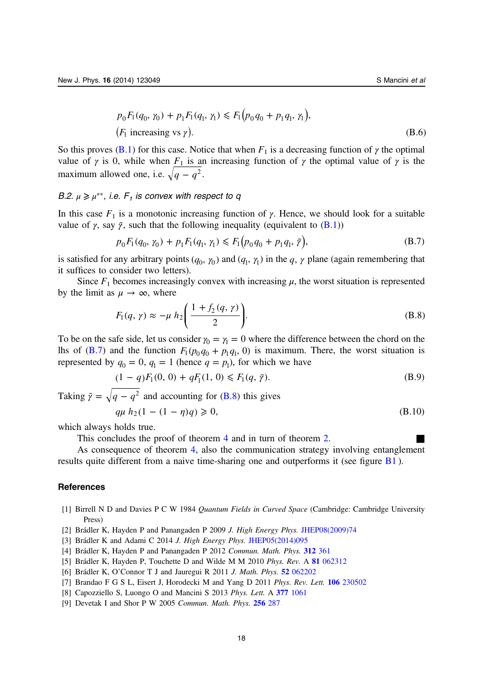$$
p_0 F_1(q_0, \gamma_0) + p_1 F_1(q_1, \gamma_1) \le F_1(p_0 q_0 + p_1 q_1, \gamma_1),
$$
  
(*F*<sub>1</sub> increasing vs  $\gamma$ ). (B.6)

<span id="page-19-0"></span>So this proves ([B.1\)](#page-17-0) for this case. Notice that when  $F_1$  is a decreasing function of  $\gamma$  the optimal value of  $\gamma$  is 0, while when  $F_1$  is an increasing function of  $\gamma$  the optimal value of  $\gamma$  is the maximum allowed one, i.e.  $\sqrt{q-q^2}$ .

#### B.2.  $\mu \ge \mu^{**}$ , i.e.  $F_1$  is convex with respect to q

In this case  $F_1$  is a monotonic increasing function of  $\gamma$ . Hence, we should look for a suitable value of  $\gamma$ , say  $\tilde{\gamma}$ , such that the following inequality (equivalent to ([B.1\)](#page-17-0))

$$
p_0 F_1(q_0, \gamma_0) + p_1 F_1(q_1, \gamma_1) \le F_1(p_0 q_0 + p_1 q_1, \tilde{\gamma}),
$$
\n(B.7)

is satisfied for any arbitrary points  $(q_0, \gamma_0)$  and  $(q_1, \gamma_1)$  in the  $q$ ,  $\gamma$  plane (again remembering that it suffices to consider two letters).

Since  $F_1$  becomes increasingly convex with increasing  $\mu$ , the worst situation is represented by the limit as  $\mu \to \infty$ , where

$$
F_1(q, \gamma) \approx -\mu h_2 \left( \frac{1 + f_2(q, \gamma)}{2} \right). \tag{B.8}
$$

To be on the safe side, let us consider  $\gamma_0 = \gamma_1 = 0$  where the difference between the chord on the lhs of (B.7) and the function  $F_1(p_0 q_0 + p_1 q_1, 0)$  is maximum. There, the worst situation is represented by  $q_0 = 0$ ,  $q_1 = 1$  (hence  $q = p_1$ ), for which we have

$$
(1 - q)F_1(0, 0) + qF_1(1, 0) \le F_1(q, \tilde{\gamma}).
$$
\n(B.9)

Taking  $\tilde{\gamma} = \sqrt{q - q^2}$  and accounting for (B.8) this gives

$$
q\mu \ h_2(1 - (1 - \eta)q) \geq 0,\tag{B.10}
$$

which always holds true.

This concludes the proof of theorem  $4$  and in turn of theorem  $2$ .

As consequence of theorem [4](#page-15-0), also the communication strategy involving entanglement results quite different from a naive time-sharing one and outperforms it (see figure [B1](#page-16-0) ).

#### **References**

- [1] Birrell N D and Davies P C W 1984 *Ouantum Fields in Curved Space* (Cambridge: Cambridge University Press)
- [2] Brádler K, Hayden P and Panangaden P 2009 J. High Energy Phys. [JHEP08\(2009\)74](http://dx.doi.org/10.1088/1126-6708/2009/08/74)
- [3] Brádler K and Adami C 2014 J. High Energy Phys. [JHEP05\(2014\)095](http://dx.doi.org/10.1007/jhep05(2014)095)
- [4] Brádler K, Hayden P and Panangaden P 2012 Commun. Math. Phys. 312 [361](http://dx.doi.org/10.1007/s00220-012-1476-1)
- [5] Brádler K, Hayden P, Touchette D and Wilde M M 2010 Phys. Rev. A 81 [062312](http://dx.doi.org/10.1103/PhysRevA.81.062312)
- [6] Brádler K, O'Connor T J and Jauregui R 2011 J. Math. Phys. **52** [062202](http://dx.doi.org/10.1063/1.3597233)
- [7] Brandao F G S L, Eisert J, Horodecki M and Yang D 2011 Phys. Rev. Lett. 106 [230502](http://dx.doi.org/10.1103/PhysRevLett.106.230502)
- [8] Capozziello S, Luongo O and Mancini S 2013 Phys. Lett. A 377 [1061](http://dx.doi.org/10.1016/j.physleta.2013.02.038)
- [9] Devetak I and Shor P W 2005 Commun. Math. Phys. 256 [287](http://dx.doi.org/10.1007/s00220-005-1317-6)